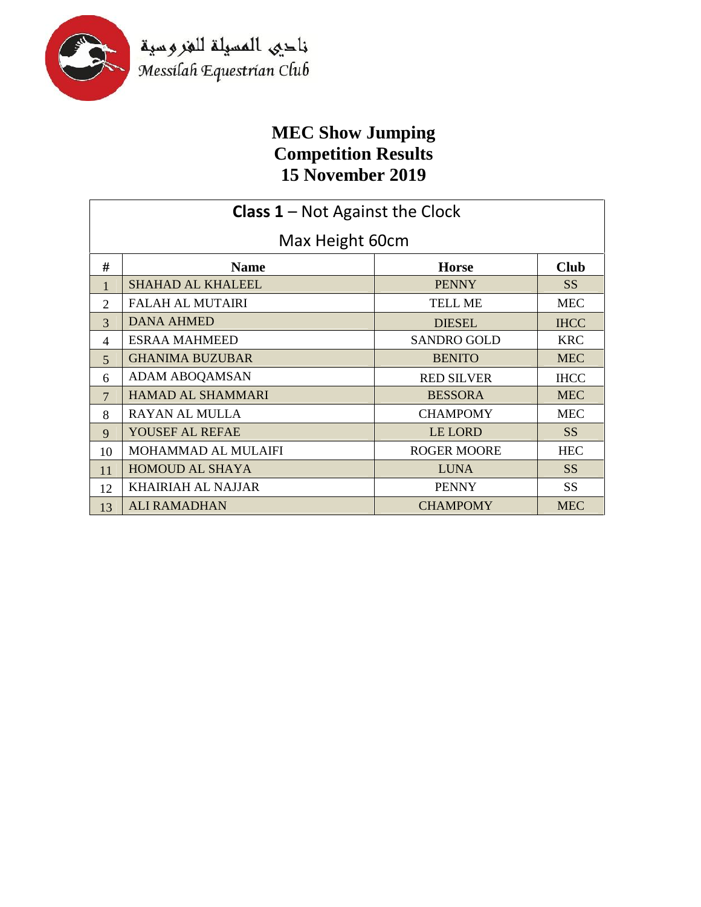

ناحيى المسيلة للغروسية<br>Messilah Equestrian Club

## **MEC Show Jumping Competition Results 15 November 2019**

| <b>Class 1</b> – Not Against the Clock |                           |                    |                 |
|----------------------------------------|---------------------------|--------------------|-----------------|
| Max Height 60cm                        |                           |                    |                 |
| #                                      | <b>Name</b>               | <b>Horse</b>       | <b>Club</b>     |
| $\mathbf{1}$                           | <b>SHAHAD AL KHALEEL</b>  | <b>PENNY</b>       | SS <sup>1</sup> |
| $\overline{2}$                         | <b>FALAH AL MUTAIRI</b>   | TELL ME            | <b>MEC</b>      |
| $\overline{3}$                         | <b>DANA AHMED</b>         | <b>DIESEL</b>      | <b>IHCC</b>     |
| 4                                      | <b>ESRAA MAHMEED</b>      | <b>SANDRO GOLD</b> | <b>KRC</b>      |
| 5                                      | <b>GHANIMA BUZUBAR</b>    | <b>BENITO</b>      | <b>MEC</b>      |
| 6                                      | ADAM ABOQAMSAN            | <b>RED SILVER</b>  | <b>IHCC</b>     |
| $\overline{7}$                         | <b>HAMAD AL SHAMMARI</b>  | <b>BESSORA</b>     | <b>MEC</b>      |
| 8                                      | <b>RAYAN AL MULLA</b>     | <b>CHAMPOMY</b>    | <b>MEC</b>      |
| 9                                      | YOUSEF AL REFAE           | LE LORD            | SS <sup>1</sup> |
| 10                                     | MOHAMMAD AL MULAIFI       | <b>ROGER MOORE</b> | <b>HEC</b>      |
| 11                                     | <b>HOMOUD AL SHAYA</b>    | <b>LUNA</b>        | <b>SS</b>       |
| 12                                     | <b>KHAIRIAH AL NAJJAR</b> | <b>PENNY</b>       | <b>SS</b>       |
| 13                                     | <b>ALI RAMADHAN</b>       | <b>CHAMPOMY</b>    | <b>MEC</b>      |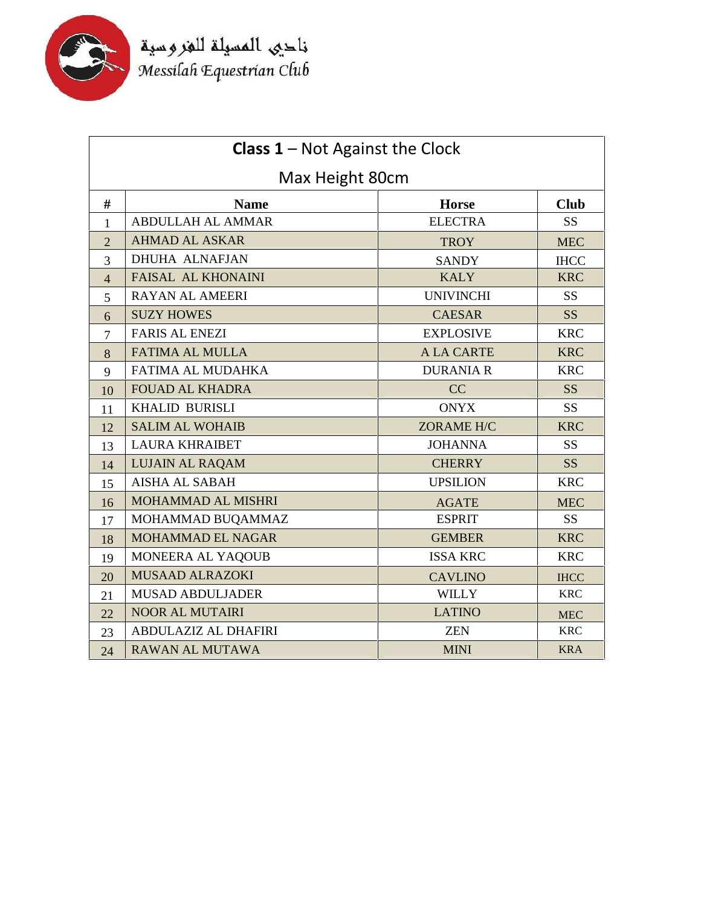

فاحيى المسيلة للغروسية<br>Messilah Equestrian Club

| <b>Class 1</b> – Not Against the Clock |                           |                   |                 |
|----------------------------------------|---------------------------|-------------------|-----------------|
| Max Height 80cm                        |                           |                   |                 |
| #                                      | <b>Name</b>               | <b>Horse</b>      | <b>Club</b>     |
| 1                                      | <b>ABDULLAH AL AMMAR</b>  | <b>ELECTRA</b>    | SS <sub>1</sub> |
| $\overline{2}$                         | <b>AHMAD AL ASKAR</b>     | <b>TROY</b>       | <b>MEC</b>      |
| 3                                      | <b>DHUHA ALNAFJAN</b>     | <b>SANDY</b>      | <b>IHCC</b>     |
| $\overline{4}$                         | <b>FAISAL AL KHONAINI</b> | <b>KALY</b>       | <b>KRC</b>      |
| 5                                      | <b>RAYAN AL AMEERI</b>    | <b>UNIVINCHI</b>  | <b>SS</b>       |
| 6                                      | <b>SUZY HOWES</b>         | <b>CAESAR</b>     | <b>SS</b>       |
| $\overline{7}$                         | <b>FARIS AL ENEZI</b>     | <b>EXPLOSIVE</b>  | <b>KRC</b>      |
| 8                                      | <b>FATIMA AL MULLA</b>    | <b>A LA CARTE</b> | <b>KRC</b>      |
| 9                                      | FATIMA AL MUDAHKA         | <b>DURANIA R</b>  | <b>KRC</b>      |
| 10                                     | <b>FOUAD AL KHADRA</b>    | CC                | <b>SS</b>       |
| 11                                     | <b>KHALID BURISLI</b>     | <b>ONYX</b>       | <b>SS</b>       |
| 12                                     | <b>SALIM AL WOHAIB</b>    | <b>ZORAME H/C</b> | <b>KRC</b>      |
| 13                                     | <b>LAURA KHRAIBET</b>     | <b>JOHANNA</b>    | <b>SS</b>       |
| 14                                     | <b>LUJAIN AL RAQAM</b>    | <b>CHERRY</b>     | <b>SS</b>       |
| 15                                     | <b>AISHA AL SABAH</b>     | <b>UPSILION</b>   | <b>KRC</b>      |
| 16                                     | MOHAMMAD AL MISHRI        | <b>AGATE</b>      | <b>MEC</b>      |
| 17                                     | MOHAMMAD BUQAMMAZ         | <b>ESPRIT</b>     | SS <sub>1</sub> |
| 18                                     | MOHAMMAD EL NAGAR         | <b>GEMBER</b>     | <b>KRC</b>      |
| 19                                     | MONEERA AL YAQOUB         | <b>ISSA KRC</b>   | <b>KRC</b>      |
| 20                                     | <b>MUSAAD ALRAZOKI</b>    | <b>CAVLINO</b>    | <b>IHCC</b>     |
| 21                                     | <b>MUSAD ABDULJADER</b>   | <b>WILLY</b>      | <b>KRC</b>      |
| 22                                     | <b>NOOR AL MUTAIRI</b>    | <b>LATINO</b>     | <b>MEC</b>      |
| 23                                     | ABDULAZIZ AL DHAFIRI      | <b>ZEN</b>        | <b>KRC</b>      |
| 24                                     | <b>RAWAN AL MUTAWA</b>    | <b>MINI</b>       | <b>KRA</b>      |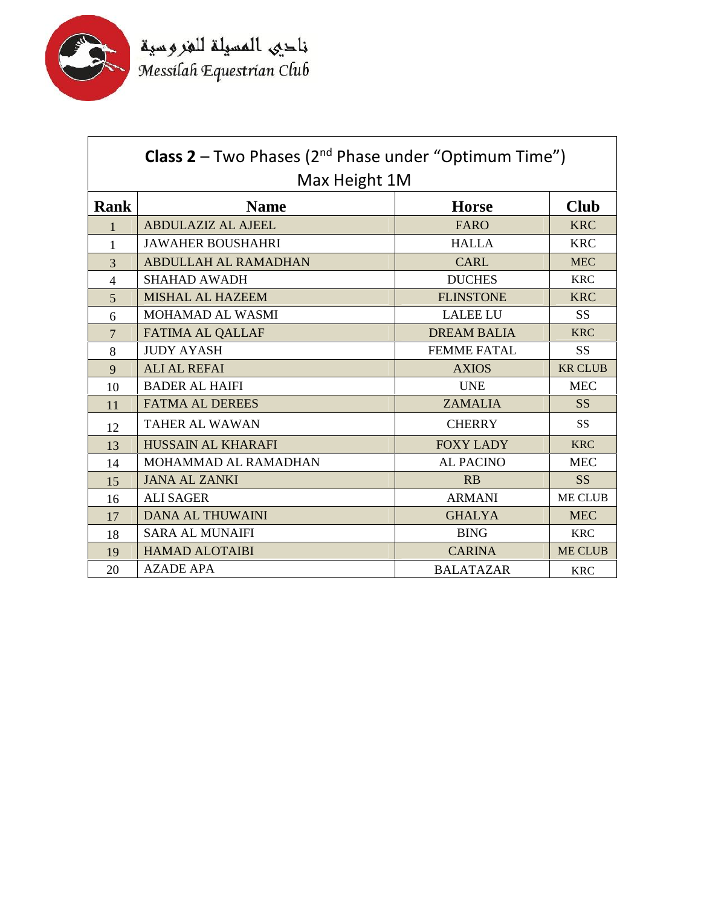

| <b>Class 2</b> – Two Phases ( $2^{nd}$ Phase under "Optimum Time")<br>Max Height 1M |                             |                    |                |  |
|-------------------------------------------------------------------------------------|-----------------------------|--------------------|----------------|--|
| Rank                                                                                | <b>Name</b>                 | <b>Horse</b>       | <b>Club</b>    |  |
| 1                                                                                   | <b>ABDULAZIZ AL AJEEL</b>   | <b>FARO</b>        | <b>KRC</b>     |  |
| 1                                                                                   | <b>JAWAHER BOUSHAHRI</b>    | <b>HALLA</b>       | <b>KRC</b>     |  |
| 3                                                                                   | <b>ABDULLAH AL RAMADHAN</b> | <b>CARL</b>        | <b>MEC</b>     |  |
| $\overline{4}$                                                                      | <b>SHAHAD AWADH</b>         | <b>DUCHES</b>      | <b>KRC</b>     |  |
| 5                                                                                   | <b>MISHAL AL HAZEEM</b>     | <b>FLINSTONE</b>   | <b>KRC</b>     |  |
| 6                                                                                   | <b>MOHAMAD AL WASMI</b>     | <b>LALEE LU</b>    | <b>SS</b>      |  |
| $\overline{7}$                                                                      | <b>FATIMA AL QALLAF</b>     | <b>DREAM BALIA</b> | <b>KRC</b>     |  |
| 8                                                                                   | <b>JUDY AYASH</b>           | <b>FEMME FATAL</b> | <b>SS</b>      |  |
| 9                                                                                   | <b>ALI AL REFAI</b>         | <b>AXIOS</b>       | <b>KR CLUB</b> |  |
| 10                                                                                  | <b>BADER AL HAIFI</b>       | <b>UNE</b>         | <b>MEC</b>     |  |
| 11                                                                                  | <b>FATMA AL DEREES</b>      | <b>ZAMALIA</b>     | <b>SS</b>      |  |
| 12                                                                                  | <b>TAHER AL WAWAN</b>       | <b>CHERRY</b>      | <b>SS</b>      |  |
| 13                                                                                  | <b>HUSSAIN AL KHARAFI</b>   | <b>FOXY LADY</b>   | <b>KRC</b>     |  |
| 14                                                                                  | MOHAMMAD AL RAMADHAN        | <b>AL PACINO</b>   | <b>MEC</b>     |  |
| 15                                                                                  | <b>JANA AL ZANKI</b>        | RB                 | <b>SS</b>      |  |
| 16                                                                                  | <b>ALI SAGER</b>            | <b>ARMANI</b>      | <b>ME CLUB</b> |  |
| 17                                                                                  | <b>DANA AL THUWAINI</b>     | <b>GHALYA</b>      | <b>MEC</b>     |  |
| 18                                                                                  | <b>SARA AL MUNAIFI</b>      | <b>BING</b>        | <b>KRC</b>     |  |
| 19                                                                                  | <b>HAMAD ALOTAIBI</b>       | <b>CARINA</b>      | <b>ME CLUB</b> |  |
| 20                                                                                  | <b>AZADE APA</b>            | <b>BALATAZAR</b>   | <b>KRC</b>     |  |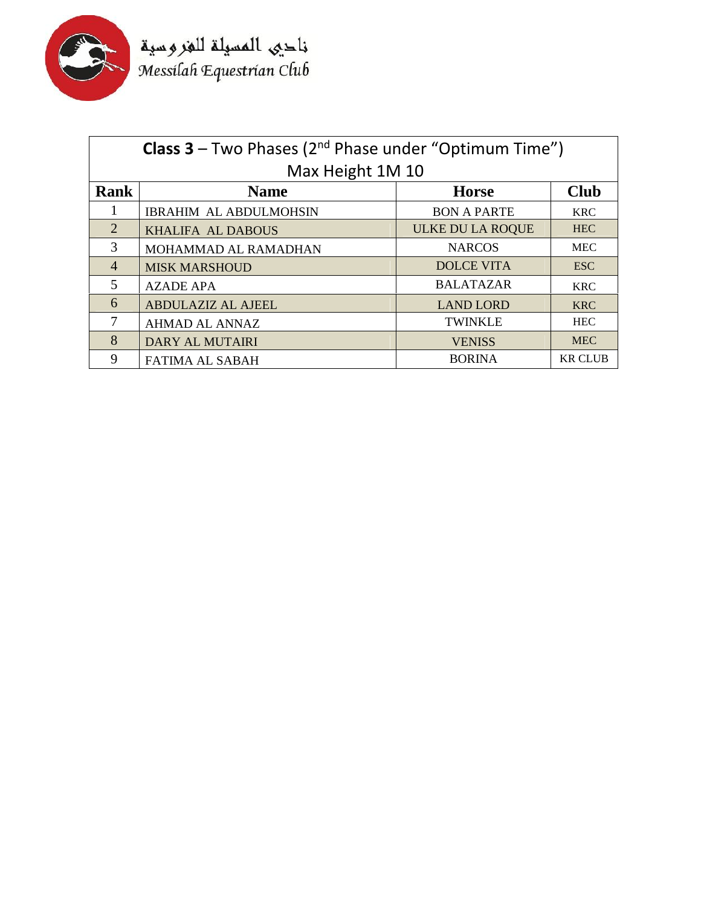

فاحيى المسيلة للغروسية<br>Messilah Equestrian Club

| <b>Class 3</b> – Two Phases ( $2^{nd}$ Phase under "Optimum Time") |                               |                         |                |
|--------------------------------------------------------------------|-------------------------------|-------------------------|----------------|
| Max Height 1M 10                                                   |                               |                         |                |
| <b>Rank</b>                                                        | <b>Name</b>                   | <b>Horse</b>            | <b>Club</b>    |
| $\mathbf{I}$                                                       | <b>IBRAHIM AL ABDULMOHSIN</b> | <b>BON A PARTE</b>      | <b>KRC</b>     |
| 2                                                                  | KHALIFA AL DABOUS             | <b>ULKE DU LA ROQUE</b> | <b>HEC</b>     |
| 3                                                                  | MOHAMMAD AL RAMADHAN          | <b>NARCOS</b>           | <b>MEC</b>     |
| $\overline{4}$                                                     | <b>MISK MARSHOUD</b>          | <b>DOLCE VITA</b>       | <b>ESC</b>     |
| 5                                                                  | <b>AZADE APA</b>              | <b>BALATAZAR</b>        | <b>KRC</b>     |
| 6                                                                  | <b>ABDULAZIZ AL AJEEL</b>     | <b>LAND LORD</b>        | <b>KRC</b>     |
| 7                                                                  | <b>AHMAD AL ANNAZ</b>         | <b>TWINKLE</b>          | <b>HEC</b>     |
| 8                                                                  | <b>DARY AL MUTAIRI</b>        | <b>VENISS</b>           | <b>MEC</b>     |
| 9                                                                  | <b>FATIMA AL SABAH</b>        | <b>BORINA</b>           | <b>KR CLUB</b> |